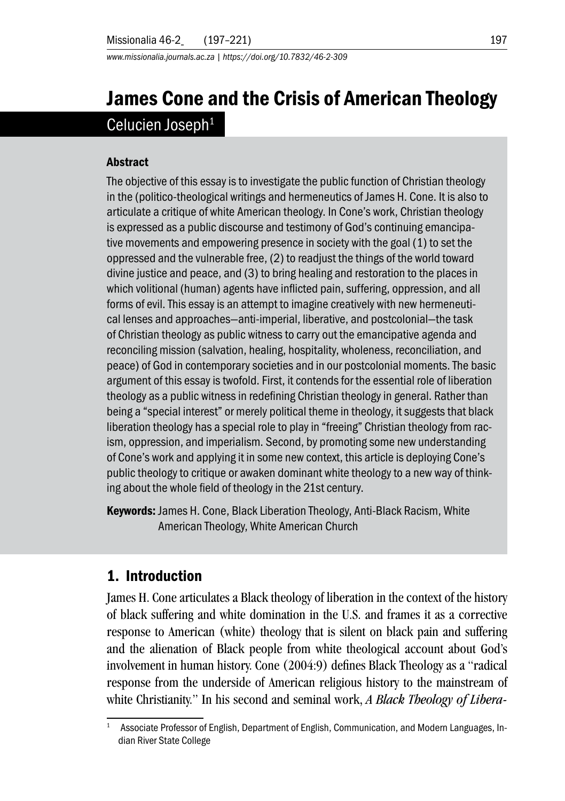*www.missionalia.journals.ac.za | https://doi.org/10.7832/46-2-309*

# James Cone and the Crisis of American Theology Celucien Joseph<sup>1</sup>

#### **Abstract**

The objective of this essay is to investigate the public function of Christian theology in the (politico-theological writings and hermeneutics of James H. Cone. It is also to articulate a critique of white American theology. In Cone's work, Christian theology is expressed as a public discourse and testimony of God's continuing emancipative movements and empowering presence in society with the goal (1) to set the oppressed and the vulnerable free, (2) to readjust the things of the world toward divine justice and peace, and (3) to bring healing and restoration to the places in which volitional (human) agents have inflicted pain, suffering, oppression, and all forms of evil. This essay is an attempt to imagine creatively with new hermeneutical lenses and approaches—anti-imperial, liberative, and postcolonial—the task of Christian theology as public witness to carry out the emancipative agenda and reconciling mission (salvation, healing, hospitality, wholeness, reconciliation, and peace) of God in contemporary societies and in our postcolonial moments. The basic argument of this essay is twofold. First, it contends for the essential role of liberation theology as a public witness in redefining Christian theology in general. Rather than being a "special interest" or merely political theme in theology, it suggests that black liberation theology has a special role to play in "freeing" Christian theology from racism, oppression, and imperialism. Second, by promoting some new understanding of Cone's work and applying it in some new context, this article is deploying Cone's public theology to critique or awaken dominant white theology to a new way of thinking about the whole field of theology in the 21st century.

Keywords: James H. Cone, Black Liberation Theology, Anti-Black Racism, White American Theology, White American Church

# 1. Introduction

James H. Cone articulates a Black theology of liberation in the context of the history of black suffering and white domination in the U.S. and frames it as a corrective response to American (white) theology that is silent on black pain and suffering and the alienation of Black people from white theological account about God's involvement in human history. Cone (2004:9) defines Black Theology as a "radical response from the underside of American religious history to the mainstream of white Christianity." In his second and seminal work, *A Black Theology of Libera-*

<sup>1</sup> Associate Professor of English, Department of English, Communication, and Modern Languages, Indian River State College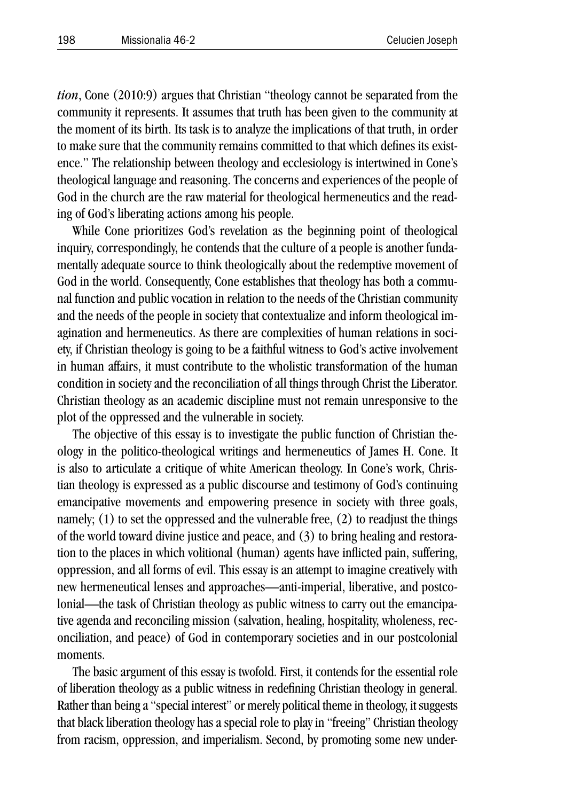*tion*, Cone (2010:9) argues that Christian "theology cannot be separated from the community it represents. It assumes that truth has been given to the community at the moment of its birth. Its task is to analyze the implications of that truth, in order to make sure that the community remains committed to that which defines its existence." The relationship between theology and ecclesiology is intertwined in Cone's theological language and reasoning. The concerns and experiences of the people of God in the church are the raw material for theological hermeneutics and the reading of God's liberating actions among his people.

While Cone prioritizes God's revelation as the beginning point of theological inquiry, correspondingly, he contends that the culture of a people is another fundamentally adequate source to think theologically about the redemptive movement of God in the world. Consequently, Cone establishes that theology has both a communal function and public vocation in relation to the needs of the Christian community and the needs of the people in society that contextualize and inform theological imagination and hermeneutics. As there are complexities of human relations in society, if Christian theology is going to be a faithful witness to God's active involvement in human affairs, it must contribute to the wholistic transformation of the human condition in society and the reconciliation of all things through Christ the Liberator. Christian theology as an academic discipline must not remain unresponsive to the plot of the oppressed and the vulnerable in society.

The objective of this essay is to investigate the public function of Christian theology in the politico-theological writings and hermeneutics of James H. Cone. It is also to articulate a critique of white American theology. In Cone's work, Christian theology is expressed as a public discourse and testimony of God's continuing emancipative movements and empowering presence in society with three goals, namely; (1) to set the oppressed and the vulnerable free, (2) to readjust the things of the world toward divine justice and peace, and (3) to bring healing and restoration to the places in which volitional (human) agents have inflicted pain, suffering, oppression, and all forms of evil. This essay is an attempt to imagine creatively with new hermeneutical lenses and approaches—anti-imperial, liberative, and postcolonial—the task of Christian theology as public witness to carry out the emancipative agenda and reconciling mission (salvation, healing, hospitality, wholeness, reconciliation, and peace) of God in contemporary societies and in our postcolonial moments.

The basic argument of this essay is twofold. First, it contends for the essential role of liberation theology as a public witness in redefining Christian theology in general. Rather than being a "special interest" or merely political theme in theology, it suggests that black liberation theology has a special role to play in "freeing" Christian theology from racism, oppression, and imperialism. Second, by promoting some new under-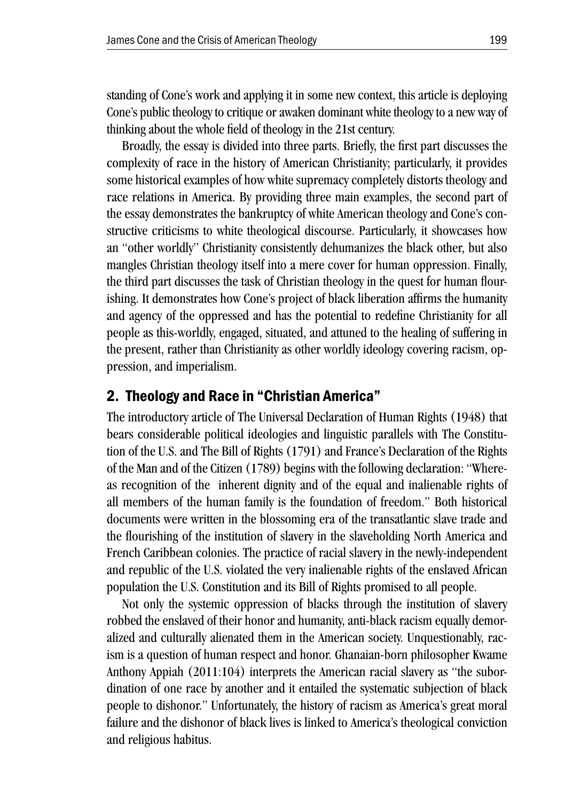standing of Cone's work and applying it in some new context, this article is deploying Cone's public theology to critique or awaken dominant white theology to a new way of thinking about the whole field of theology in the 21st century.

Broadly, the essay is divided into three parts. Briefly, the first part discusses the complexity of race in the history of American Christianity; particularly, it provides some historical examples of how white supremacy completely distorts theology and race relations in America. By providing three main examples, the second part of the essay demonstrates the bankruptcy of white American theology and Cone's constructive criticisms to white theological discourse. Particularly, it showcases how an "other worldly" Christianity consistently dehumanizes the black other, but also mangles Christian theology itself into a mere cover for human oppression. Finally, the third part discusses the task of Christian theology in the quest for human flourishing. It demonstrates how Cone's project of black liberation affirms the humanity and agency of the oppressed and has the potential to redefine Christianity for all people as this-worldly, engaged, situated, and attuned to the healing of suffering in the present, rather than Christianity as other worldly ideology covering racism, oppression, and imperialism.

### 2. Theology and Race in "Christian America"

The introductory article of The Universal Declaration of Human Rights (1948) that bears considerable political ideologies and linguistic parallels with The Constitution of the U.S. and The Bill of Rights (1791) and France's Declaration of the Rights of the Man and of the Citizen (1789) begins with the following declaration: "Whereas recognition of the inherent dignity and of the equal and inalienable rights of all members of the human family is the foundation of freedom." Both historical documents were written in the blossoming era of the transatlantic slave trade and the flourishing of the institution of slavery in the slaveholding North America and French Caribbean colonies. The practice of racial slavery in the newly-independent and republic of the U.S. violated the very inalienable rights of the enslaved African population the U.S. Constitution and its Bill of Rights promised to all people.

Not only the systemic oppression of blacks through the institution of slavery robbed the enslaved of their honor and humanity, anti-black racism equally demoralized and culturally alienated them in the American society. Unquestionably, racism is a question of human respect and honor. Ghanaian-born philosopher Kwame Anthony Appiah (2011:104) interprets the American racial slavery as "the subordination of one race by another and it entailed the systematic subjection of black people to dishonor." Unfortunately, the history of racism as America's great moral failure and the dishonor of black lives is linked to America's theological conviction and religious habitus.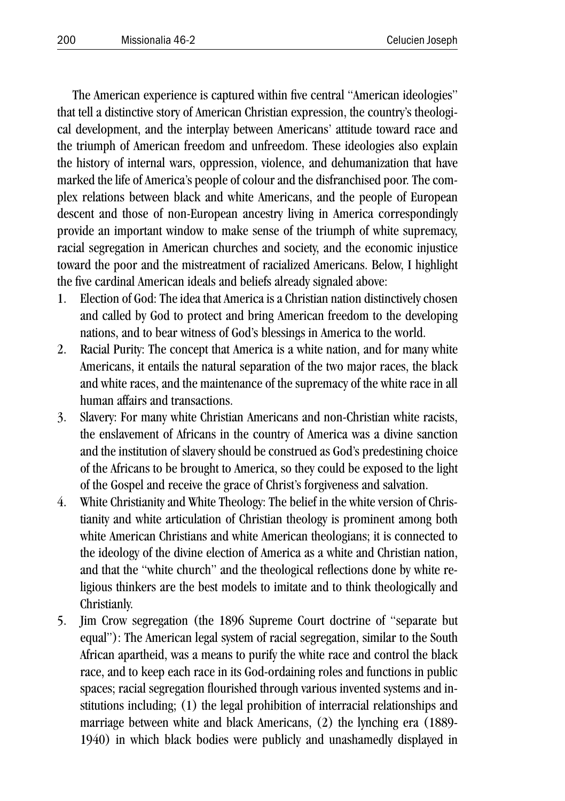The American experience is captured within five central "American ideologies" that tell a distinctive story of American Christian expression, the country's theological development, and the interplay between Americans' attitude toward race and the triumph of American freedom and unfreedom. These ideologies also explain the history of internal wars, oppression, violence, and dehumanization that have marked the life of America's people of colour and the disfranchised poor. The complex relations between black and white Americans, and the people of European descent and those of non-European ancestry living in America correspondingly provide an important window to make sense of the triumph of white supremacy, racial segregation in American churches and society, and the economic injustice toward the poor and the mistreatment of racialized Americans. Below, I highlight the five cardinal American ideals and beliefs already signaled above:

- 1. Election of God: The idea that America is a Christian nation distinctively chosen and called by God to protect and bring American freedom to the developing nations, and to bear witness of God's blessings in America to the world.
- 2. Racial Purity: The concept that America is a white nation, and for many white Americans, it entails the natural separation of the two major races, the black and white races, and the maintenance of the supremacy of the white race in all human affairs and transactions.
- 3. Slavery: For many white Christian Americans and non-Christian white racists, the enslavement of Africans in the country of America was a divine sanction and the institution of slavery should be construed as God's predestining choice of the Africans to be brought to America, so they could be exposed to the light of the Gospel and receive the grace of Christ's forgiveness and salvation.
- 4. White Christianity and White Theology: The belief in the white version of Christianity and white articulation of Christian theology is prominent among both white American Christians and white American theologians; it is connected to the ideology of the divine election of America as a white and Christian nation, and that the "white church" and the theological reflections done by white religious thinkers are the best models to imitate and to think theologically and Christianly.
- 5. Jim Crow segregation (the 1896 Supreme Court doctrine of "separate but equal"): The American legal system of racial segregation, similar to the South African apartheid, was a means to purify the white race and control the black race, and to keep each race in its God-ordaining roles and functions in public spaces; racial segregation flourished through various invented systems and institutions including; (1) the legal prohibition of interracial relationships and marriage between white and black Americans, (2) the lynching era (1889- 1940) in which black bodies were publicly and unashamedly displayed in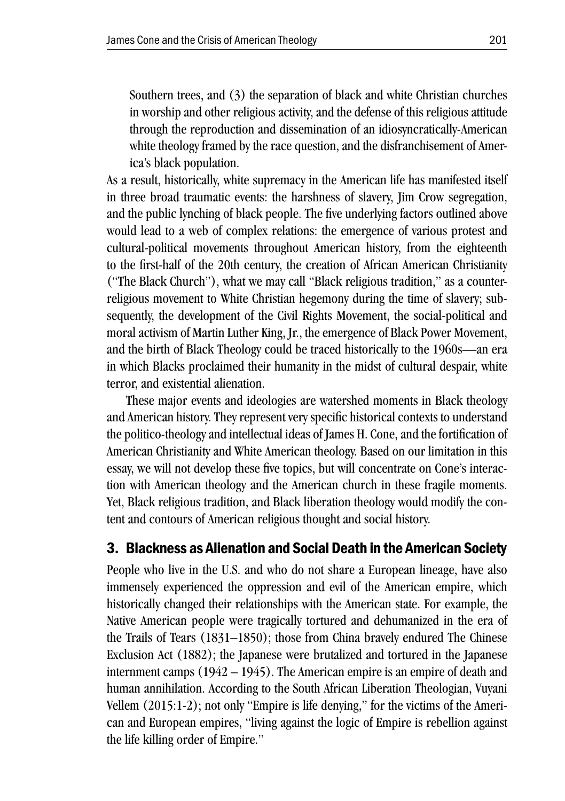Southern trees, and (3) the separation of black and white Christian churches in worship and other religious activity, and the defense of this religious attitude through the reproduction and dissemination of an idiosyncratically-American white theology framed by the race question, and the disfranchisement of America's black population.

As a result, historically, white supremacy in the American life has manifested itself in three broad traumatic events: the harshness of slavery, Jim Crow segregation, and the public lynching of black people. The five underlying factors outlined above would lead to a web of complex relations: the emergence of various protest and cultural-political movements throughout American history, from the eighteenth to the first-half of the 20th century, the creation of African American Christianity ("The Black Church"), what we may call "Black religious tradition," as a counterreligious movement to White Christian hegemony during the time of slavery; subsequently, the development of the Civil Rights Movement, the social-political and moral activism of Martin Luther King, Jr., the emergence of Black Power Movement, and the birth of Black Theology could be traced historically to the 1960s—an era in which Blacks proclaimed their humanity in the midst of cultural despair, white terror, and existential alienation.

 These major events and ideologies are watershed moments in Black theology and American history. They represent very specific historical contexts to understand the politico-theology and intellectual ideas of James H. Cone, and the fortification of American Christianity and White American theology. Based on our limitation in this essay, we will not develop these five topics, but will concentrate on Cone's interaction with American theology and the American church in these fragile moments. Yet, Black religious tradition, and Black liberation theology would modify the content and contours of American religious thought and social history.

## 3. Blackness as Alienation and Social Death in the American Society

People who live in the U.S. and who do not share a European lineage, have also immensely experienced the oppression and evil of the American empire, which historically changed their relationships with the American state. For example, the Native American people were tragically tortured and dehumanized in the era of the Trails of Tears (1831–1850); those from China bravely endured The Chinese Exclusion Act (1882); the Japanese were brutalized and tortured in the Japanese internment camps (1942 – 1945). The American empire is an empire of death and human annihilation. According to the South African Liberation Theologian, Vuyani Vellem (2015:1-2); not only "Empire is life denying," for the victims of the American and European empires, "living against the logic of Empire is rebellion against the life killing order of Empire."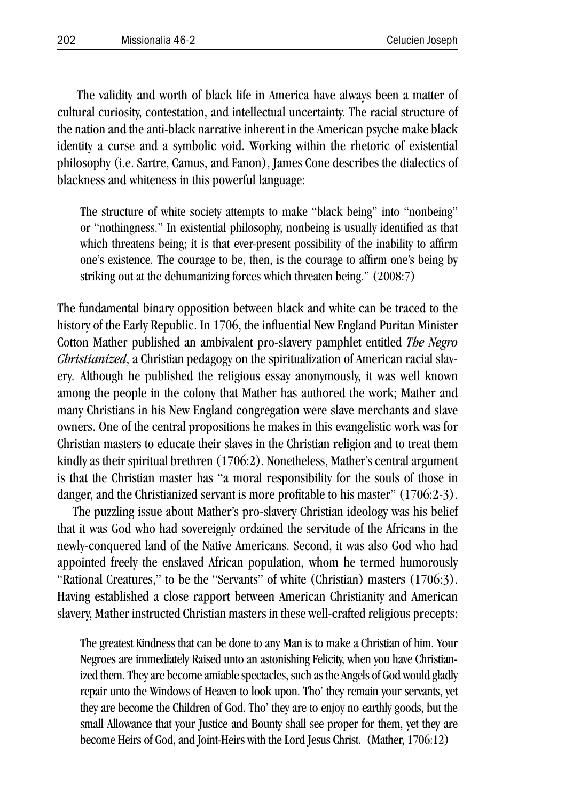The validity and worth of black life in America have always been a matter of cultural curiosity, contestation, and intellectual uncertainty. The racial structure of the nation and the anti-black narrative inherent in the American psyche make black identity a curse and a symbolic void. Working within the rhetoric of existential philosophy (i.e. Sartre, Camus, and Fanon), James Cone describes the dialectics of blackness and whiteness in this powerful language:

The structure of white society attempts to make "black being" into "nonbeing" or "nothingness." In existential philosophy, nonbeing is usually identified as that which threatens being; it is that ever-present possibility of the inability to affirm one's existence. The courage to be, then, is the courage to affirm one's being by striking out at the dehumanizing forces which threaten being." (2008:7)

The fundamental binary opposition between black and white can be traced to the history of the Early Republic. In 1706, the influential New England Puritan Minister Cotton Mather published an ambivalent pro-slavery pamphlet entitled *The Negro Christianized*, a Christian pedagogy on the spiritualization of American racial slavery*.* Although he published the religious essay anonymously, it was well known among the people in the colony that Mather has authored the work; Mather and many Christians in his New England congregation were slave merchants and slave owners. One of the central propositions he makes in this evangelistic work was for Christian masters to educate their slaves in the Christian religion and to treat them kindly as their spiritual brethren (1706:2). Nonetheless, Mather's central argument is that the Christian master has "a moral responsibility for the souls of those in danger, and the Christianized servant is more profitable to his master" (1706:2-3).

The puzzling issue about Mather's pro-slavery Christian ideology was his belief that it was God who had sovereignly ordained the servitude of the Africans in the newly-conquered land of the Native Americans. Second, it was also God who had appointed freely the enslaved African population, whom he termed humorously "Rational Creatures," to be the "Servants" of white (Christian) masters (1706:3). Having established a close rapport between American Christianity and American slavery, Mather instructed Christian masters in these well-crafted religious precepts:

The greatest Kindness that can be done to any Man is to make a Christian of him. Your Negroes are immediately Raised unto an astonishing Felicity, when you have Christianized them. They are become amiable spectacles, such as the Angels of God would gladly repair unto the Windows of Heaven to look upon. Tho' they remain your servants, yet they are become the Children of God. Tho' they are to enjoy no earthly goods, but the small Allowance that your Justice and Bounty shall see proper for them, yet they are become Heirs of God, and Joint-Heirs with the Lord Jesus Christ. (Mather, 1706:12)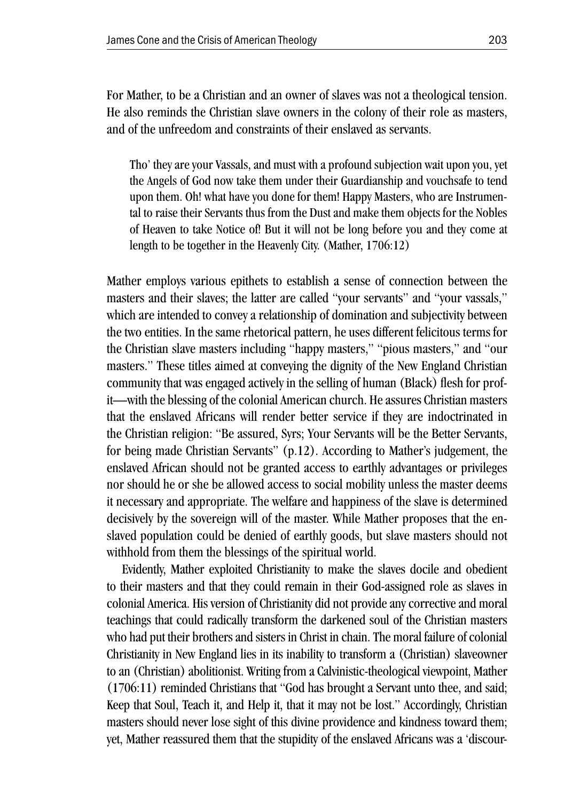For Mather, to be a Christian and an owner of slaves was not a theological tension. He also reminds the Christian slave owners in the colony of their role as masters, and of the unfreedom and constraints of their enslaved as servants.

Tho' they are your Vassals, and must with a profound subjection wait upon you, yet the Angels of God now take them under their Guardianship and vouchsafe to tend upon them. Oh! what have you done for them! Happy Masters, who are Instrumental to raise their Servants thus from the Dust and make them objects for the Nobles of Heaven to take Notice of! But it will not be long before you and they come at length to be together in the Heavenly City. (Mather, 1706:12)

Mather employs various epithets to establish a sense of connection between the masters and their slaves; the latter are called "your servants" and "your vassals," which are intended to convey a relationship of domination and subjectivity between the two entities. In the same rhetorical pattern, he uses different felicitous terms for the Christian slave masters including "happy masters," "pious masters," and "our masters." These titles aimed at conveying the dignity of the New England Christian community that was engaged actively in the selling of human (Black) flesh for profit—with the blessing of the colonial American church. He assures Christian masters that the enslaved Africans will render better service if they are indoctrinated in the Christian religion: "Be assured, Syrs; Your Servants will be the Better Servants, for being made Christian Servants" (p.12). According to Mather's judgement, the enslaved African should not be granted access to earthly advantages or privileges nor should he or she be allowed access to social mobility unless the master deems it necessary and appropriate. The welfare and happiness of the slave is determined decisively by the sovereign will of the master. While Mather proposes that the enslaved population could be denied of earthly goods, but slave masters should not withhold from them the blessings of the spiritual world.

Evidently, Mather exploited Christianity to make the slaves docile and obedient to their masters and that they could remain in their God-assigned role as slaves in colonial America. His version of Christianity did not provide any corrective and moral teachings that could radically transform the darkened soul of the Christian masters who had put their brothers and sisters in Christ in chain. The moral failure of colonial Christianity in New England lies in its inability to transform a (Christian) slaveowner to an (Christian) abolitionist. Writing from a Calvinistic-theological viewpoint, Mather (1706:11) reminded Christians that "God has brought a Servant unto thee, and said; Keep that Soul, Teach it, and Help it, that it may not be lost." Accordingly, Christian masters should never lose sight of this divine providence and kindness toward them; yet, Mather reassured them that the stupidity of the enslaved Africans was a 'discour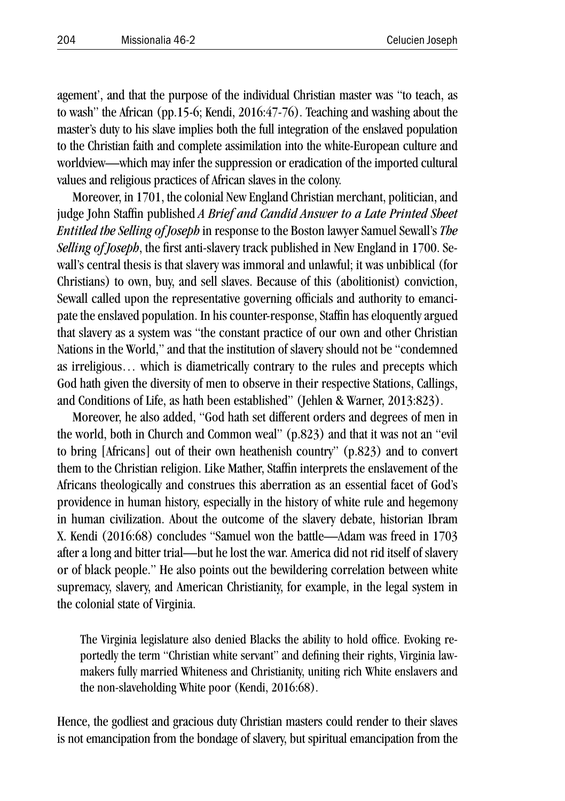agement', and that the purpose of the individual Christian master was "to teach, as to wash" the African (pp.15-6; Kendi, 2016:47-76). Teaching and washing about the master's duty to his slave implies both the full integration of the enslaved population to the Christian faith and complete assimilation into the white-European culture and worldview—which may infer the suppression or eradication of the imported cultural values and religious practices of African slaves in the colony.

Moreover, in 1701, the colonial New England Christian merchant, politician, and judge John Staffin published *A Brief and Candid Answer to a Late Printed Sheet Entitled the Selling of Joseph* in response to the Boston lawyer Samuel Sewall's *The Selling of Joseph*, the first anti-slavery track published in New England in 1700. Sewall's central thesis is that slavery was immoral and unlawful; it was unbiblical (for Christians) to own, buy, and sell slaves. Because of this (abolitionist) conviction, Sewall called upon the representative governing officials and authority to emancipate the enslaved population. In his counter-response, Staffin has eloquently argued that slavery as a system was "the constant practice of our own and other Christian Nations in the World," and that the institution of slavery should not be "condemned as irreligious… which is diametrically contrary to the rules and precepts which God hath given the diversity of men to observe in their respective Stations, Callings, and Conditions of Life, as hath been established" (Jehlen & Warner, 2013:823).

Moreover, he also added, "God hath set different orders and degrees of men in the world, both in Church and Common weal" (p.823) and that it was not an "evil to bring [Africans] out of their own heathenish country" (p.823) and to convert them to the Christian religion. Like Mather, Staffin interprets the enslavement of the Africans theologically and construes this aberration as an essential facet of God's providence in human history, especially in the history of white rule and hegemony in human civilization. About the outcome of the slavery debate, historian Ibram X. Kendi (2016:68) concludes "Samuel won the battle—Adam was freed in 1703 after a long and bitter trial—but he lost the war. America did not rid itself of slavery or of black people." He also points out the bewildering correlation between white supremacy, slavery, and American Christianity, for example, in the legal system in the colonial state of Virginia.

The Virginia legislature also denied Blacks the ability to hold office. Evoking reportedly the term "Christian white servant" and defining their rights, Virginia lawmakers fully married Whiteness and Christianity, uniting rich White enslavers and the non-slaveholding White poor (Kendi, 2016:68).

Hence, the godliest and gracious duty Christian masters could render to their slaves is not emancipation from the bondage of slavery, but spiritual emancipation from the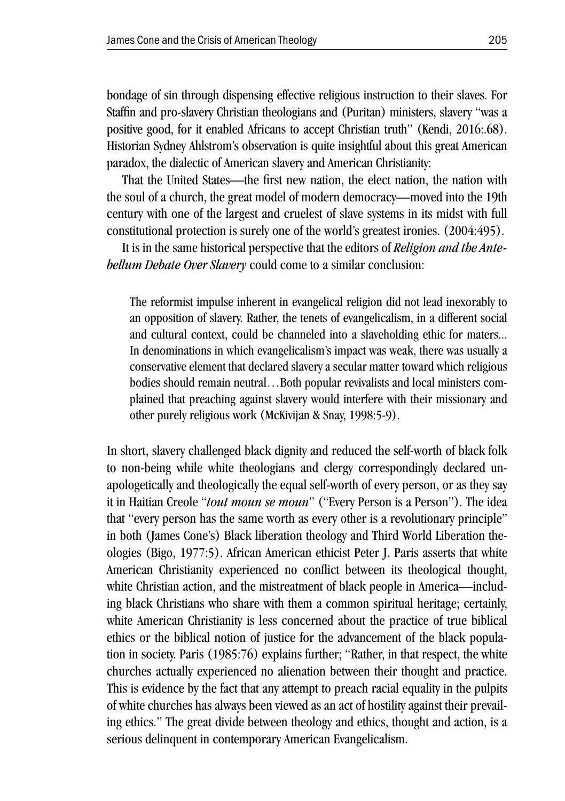bondage of sin through dispensing effective religious instruction to their slaves. For Staffin and pro-slavery Christian theologians and (Puritan) ministers, slavery "was a positive good, for it enabled Africans to accept Christian truth" (Kendi, 2016:.68). Historian Sydney Ahlstrom's observation is quite insightful about this great American paradox, the dialectic of American slavery and American Christianity:

That the United States—the first new nation, the elect nation, the nation with the soul of a church, the great model of modern democracy—moved into the 19th century with one of the largest and cruelest of slave systems in its midst with full constitutional protection is surely one of the world's greatest ironies. (2004:495).

It is in the same historical perspective that the editors of *Religion and the Antebellum Debate Over Slavery* could come to a similar conclusion:

The reformist impulse inherent in evangelical religion did not lead inexorably to an opposition of slavery. Rather, the tenets of evangelicalism, in a different social and cultural context, could be channeled into a slaveholding ethic for maters... In denominations in which evangelicalism's impact was weak, there was usually a conservative element that declared slavery a secular matter toward which religious bodies should remain neutral…Both popular revivalists and local ministers complained that preaching against slavery would interfere with their missionary and other purely religious work (McKivijan & Snay, 1998:5-9).

In short, slavery challenged black dignity and reduced the self-worth of black folk to non-being while white theologians and clergy correspondingly declared unapologetically and theologically the equal self-worth of every person, or as they say it in Haitian Creole "*tout moun se moun*" ("Every Person is a Person"). The idea that "every person has the same worth as every other is a revolutionary principle" in both (James Cone's) Black liberation theology and Third World Liberation theologies (Bigo, 1977:5). African American ethicist Peter J. Paris asserts that white American Christianity experienced no conflict between its theological thought, white Christian action, and the mistreatment of black people in America—including black Christians who share with them a common spiritual heritage; certainly, white American Christianity is less concerned about the practice of true biblical ethics or the biblical notion of justice for the advancement of the black population in society. Paris (1985:76) explains further; "Rather, in that respect, the white churches actually experienced no alienation between their thought and practice. This is evidence by the fact that any attempt to preach racial equality in the pulpits of white churches has always been viewed as an act of hostility against their prevailing ethics." The great divide between theology and ethics, thought and action, is a serious delinquent in contemporary American Evangelicalism.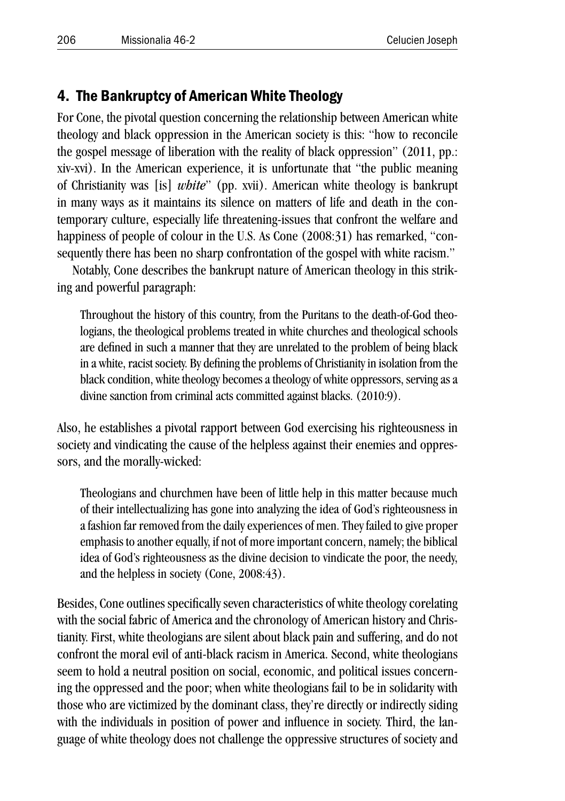## 4. The Bankruptcy of American White Theology

For Cone, the pivotal question concerning the relationship between American white theology and black oppression in the American society is this: "how to reconcile the gospel message of liberation with the reality of black oppression" (2011, pp.: xiv-xvi). In the American experience, it is unfortunate that "the public meaning of Christianity was [is] *white*" (pp. xvii). American white theology is bankrupt in many ways as it maintains its silence on matters of life and death in the contemporary culture, especially life threatening-issues that confront the welfare and happiness of people of colour in the U.S. As Cone (2008:31) has remarked, "consequently there has been no sharp confrontation of the gospel with white racism."

Notably, Cone describes the bankrupt nature of American theology in this striking and powerful paragraph:

Throughout the history of this country, from the Puritans to the death-of-God theologians, the theological problems treated in white churches and theological schools are defined in such a manner that they are unrelated to the problem of being black in a white, racist society. By defining the problems of Christianity in isolation from the black condition, white theology becomes a theology of white oppressors, serving as a divine sanction from criminal acts committed against blacks. (2010:9).

Also, he establishes a pivotal rapport between God exercising his righteousness in society and vindicating the cause of the helpless against their enemies and oppressors, and the morally-wicked:

Theologians and churchmen have been of little help in this matter because much of their intellectualizing has gone into analyzing the idea of God's righteousness in a fashion far removed from the daily experiences of men. They failed to give proper emphasis to another equally, if not of more important concern, namely; the biblical idea of God's righteousness as the divine decision to vindicate the poor, the needy, and the helpless in society (Cone, 2008:43).

Besides, Cone outlines specifically seven characteristics of white theology corelating with the social fabric of America and the chronology of American history and Christianity. First, white theologians are silent about black pain and suffering, and do not confront the moral evil of anti-black racism in America. Second, white theologians seem to hold a neutral position on social, economic, and political issues concerning the oppressed and the poor; when white theologians fail to be in solidarity with those who are victimized by the dominant class, they're directly or indirectly siding with the individuals in position of power and influence in society. Third, the language of white theology does not challenge the oppressive structures of society and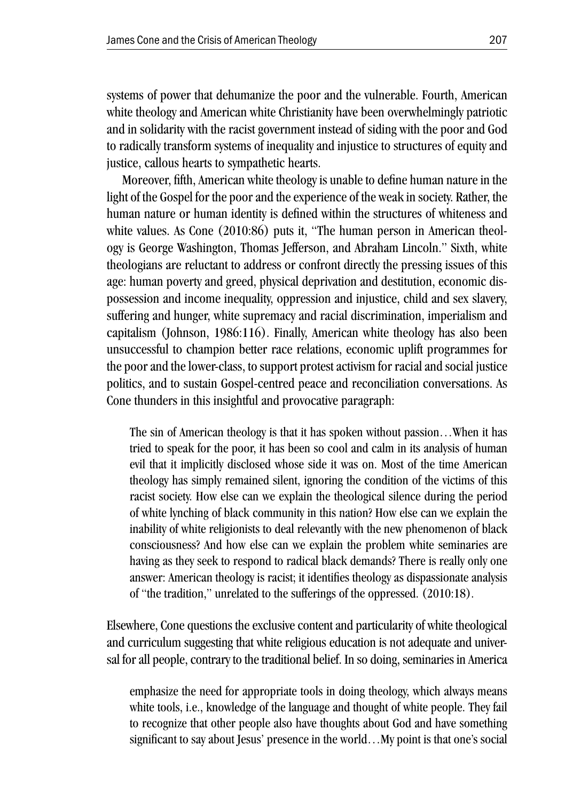systems of power that dehumanize the poor and the vulnerable. Fourth, American white theology and American white Christianity have been overwhelmingly patriotic and in solidarity with the racist government instead of siding with the poor and God to radically transform systems of inequality and injustice to structures of equity and justice, callous hearts to sympathetic hearts.

Moreover, fifth, American white theology is unable to define human nature in the light of the Gospel for the poor and the experience of the weak in society. Rather, the human nature or human identity is defined within the structures of whiteness and white values. As Cone (2010:86) puts it, "The human person in American theology is George Washington, Thomas Jefferson, and Abraham Lincoln." Sixth, white theologians are reluctant to address or confront directly the pressing issues of this age: human poverty and greed, physical deprivation and destitution, economic dispossession and income inequality, oppression and injustice, child and sex slavery, suffering and hunger, white supremacy and racial discrimination, imperialism and capitalism (Johnson, 1986:116). Finally, American white theology has also been unsuccessful to champion better race relations, economic uplift programmes for the poor and the lower-class, to support protest activism for racial and social justice politics, and to sustain Gospel-centred peace and reconciliation conversations. As Cone thunders in this insightful and provocative paragraph:

The sin of American theology is that it has spoken without passion…When it has tried to speak for the poor, it has been so cool and calm in its analysis of human evil that it implicitly disclosed whose side it was on. Most of the time American theology has simply remained silent, ignoring the condition of the victims of this racist society. How else can we explain the theological silence during the period of white lynching of black community in this nation? How else can we explain the inability of white religionists to deal relevantly with the new phenomenon of black consciousness? And how else can we explain the problem white seminaries are having as they seek to respond to radical black demands? There is really only one answer: American theology is racist; it identifies theology as dispassionate analysis of "the tradition," unrelated to the sufferings of the oppressed. (2010:18).

Elsewhere, Cone questions the exclusive content and particularity of white theological and curriculum suggesting that white religious education is not adequate and universal for all people, contrary to the traditional belief. In so doing, seminaries in America

emphasize the need for appropriate tools in doing theology, which always means white tools, i.e., knowledge of the language and thought of white people. They fail to recognize that other people also have thoughts about God and have something significant to say about Jesus' presence in the world…My point is that one's social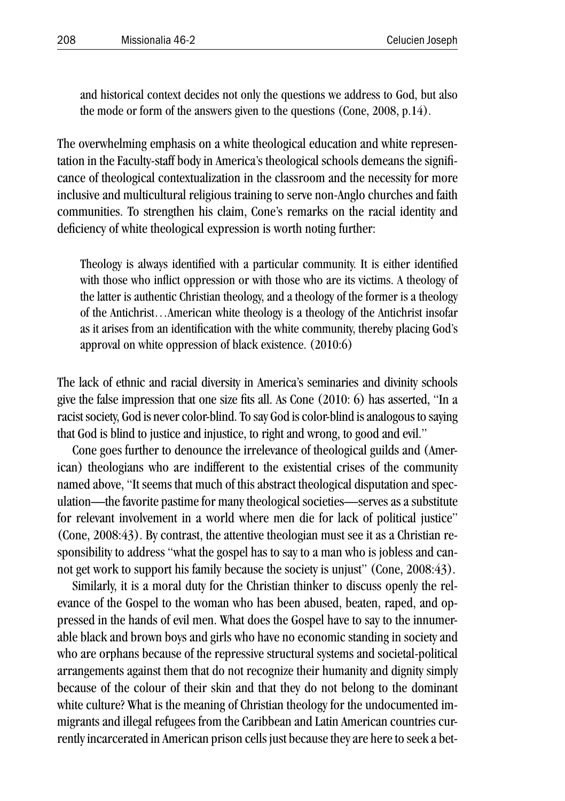and historical context decides not only the questions we address to God, but also the mode or form of the answers given to the questions (Cone, 2008, p.14).

The overwhelming emphasis on a white theological education and white representation in the Faculty-staff body in America's theological schools demeans the significance of theological contextualization in the classroom and the necessity for more inclusive and multicultural religious training to serve non-Anglo churches and faith communities. To strengthen his claim, Cone's remarks on the racial identity and deficiency of white theological expression is worth noting further:

Theology is always identified with a particular community. It is either identified with those who inflict oppression or with those who are its victims. A theology of the latter is authentic Christian theology, and a theology of the former is a theology of the Antichrist…American white theology is a theology of the Antichrist insofar as it arises from an identification with the white community, thereby placing God's approval on white oppression of black existence. (2010:6)

The lack of ethnic and racial diversity in America's seminaries and divinity schools give the false impression that one size fits all. As Cone (2010: 6) has asserted, "In a racist society, God is never color-blind. To say God is color-blind is analogous to saying that God is blind to justice and injustice, to right and wrong, to good and evil."

Cone goes further to denounce the irrelevance of theological guilds and (American) theologians who are indifferent to the existential crises of the community named above, "It seems that much of this abstract theological disputation and speculation—the favorite pastime for many theological societies—serves as a substitute for relevant involvement in a world where men die for lack of political justice" (Cone, 2008:43). By contrast, the attentive theologian must see it as a Christian responsibility to address "what the gospel has to say to a man who is jobless and cannot get work to support his family because the society is unjust" (Cone, 2008:43).

Similarly, it is a moral duty for the Christian thinker to discuss openly the relevance of the Gospel to the woman who has been abused, beaten, raped, and oppressed in the hands of evil men. What does the Gospel have to say to the innumerable black and brown boys and girls who have no economic standing in society and who are orphans because of the repressive structural systems and societal-political arrangements against them that do not recognize their humanity and dignity simply because of the colour of their skin and that they do not belong to the dominant white culture? What is the meaning of Christian theology for the undocumented immigrants and illegal refugees from the Caribbean and Latin American countries currently incarcerated in American prison cells just because they are here to seek a bet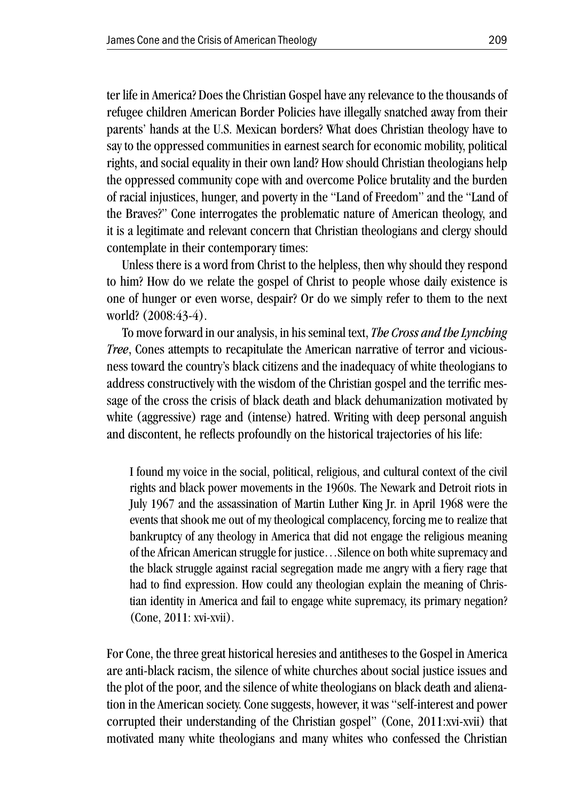ter life in America? Does the Christian Gospel have any relevance to the thousands of refugee children American Border Policies have illegally snatched away from their parents' hands at the U.S. Mexican borders? What does Christian theology have to say to the oppressed communities in earnest search for economic mobility, political rights, and social equality in their own land? How should Christian theologians help the oppressed community cope with and overcome Police brutality and the burden of racial injustices, hunger, and poverty in the "Land of Freedom" and the "Land of the Braves?" Cone interrogates the problematic nature of American theology, and it is a legitimate and relevant concern that Christian theologians and clergy should contemplate in their contemporary times:

Unless there is a word from Christ to the helpless, then why should they respond to him? How do we relate the gospel of Christ to people whose daily existence is one of hunger or even worse, despair? Or do we simply refer to them to the next world? (2008:43-4).

To move forward in our analysis, in his seminal text, *The Cross and the Lynching Tree*, Cones attempts to recapitulate the American narrative of terror and viciousness toward the country's black citizens and the inadequacy of white theologians to address constructively with the wisdom of the Christian gospel and the terrific message of the cross the crisis of black death and black dehumanization motivated by white (aggressive) rage and (intense) hatred. Writing with deep personal anguish and discontent, he reflects profoundly on the historical trajectories of his life:

I found my voice in the social, political, religious, and cultural context of the civil rights and black power movements in the 1960s. The Newark and Detroit riots in July 1967 and the assassination of Martin Luther King Jr. in April 1968 were the events that shook me out of my theological complacency, forcing me to realize that bankruptcy of any theology in America that did not engage the religious meaning of the African American struggle for justice…Silence on both white supremacy and the black struggle against racial segregation made me angry with a fiery rage that had to find expression. How could any theologian explain the meaning of Christian identity in America and fail to engage white supremacy, its primary negation? (Cone, 2011: xvi-xvii).

For Cone, the three great historical heresies and antitheses to the Gospel in America are anti-black racism, the silence of white churches about social justice issues and the plot of the poor, and the silence of white theologians on black death and alienation in the American society. Cone suggests, however, it was "self-interest and power corrupted their understanding of the Christian gospel" (Cone, 2011:xvi-xvii) that motivated many white theologians and many whites who confessed the Christian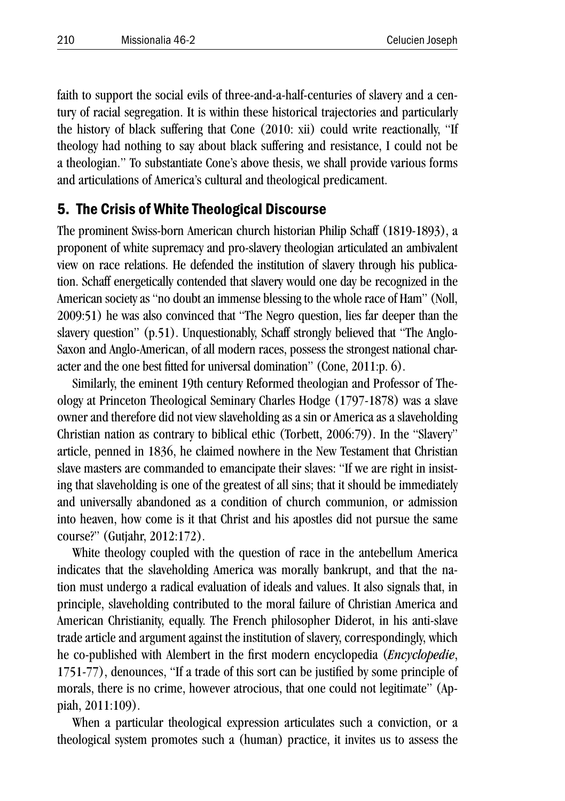faith to support the social evils of three-and-a-half-centuries of slavery and a century of racial segregation. It is within these historical trajectories and particularly the history of black suffering that Cone (2010: xii) could write reactionally, "If theology had nothing to say about black suffering and resistance, I could not be a theologian." To substantiate Cone's above thesis, we shall provide various forms and articulations of America's cultural and theological predicament.

## 5. The Crisis of White Theological Discourse

The prominent Swiss-born American church historian Philip Schaff (1819-1893), a proponent of white supremacy and pro-slavery theologian articulated an ambivalent view on race relations. He defended the institution of slavery through his publication. Schaff energetically contended that slavery would one day be recognized in the American society as "no doubt an immense blessing to the whole race of Ham" (Noll, 2009:51) he was also convinced that "The Negro question, lies far deeper than the slavery question" (p.51). Unquestionably, Schaff strongly believed that "The Anglo-Saxon and Anglo-American, of all modern races, possess the strongest national character and the one best fitted for universal domination" (Cone, 2011:p. 6).

Similarly, the eminent 19th century Reformed theologian and Professor of Theology at Princeton Theological Seminary Charles Hodge (1797-1878) was a slave owner and therefore did not view slaveholding as a sin or America as a slaveholding Christian nation as contrary to biblical ethic (Torbett, 2006:79). In the "Slavery" article, penned in 1836, he claimed nowhere in the New Testament that Christian slave masters are commanded to emancipate their slaves: "If we are right in insisting that slaveholding is one of the greatest of all sins; that it should be immediately and universally abandoned as a condition of church communion, or admission into heaven, how come is it that Christ and his apostles did not pursue the same course?" (Gutjahr, 2012:172).

White theology coupled with the question of race in the antebellum America indicates that the slaveholding America was morally bankrupt, and that the nation must undergo a radical evaluation of ideals and values. It also signals that, in principle, slaveholding contributed to the moral failure of Christian America and American Christianity, equally. The French philosopher Diderot, in his anti-slave trade article and argument against the institution of slavery, correspondingly, which he co-published with Alembert in the first modern encyclopedia (*Encyclopedie*, 1751-77), denounces, "If a trade of this sort can be justified by some principle of morals, there is no crime, however atrocious, that one could not legitimate" (Appiah, 2011:109).

When a particular theological expression articulates such a conviction, or a theological system promotes such a (human) practice, it invites us to assess the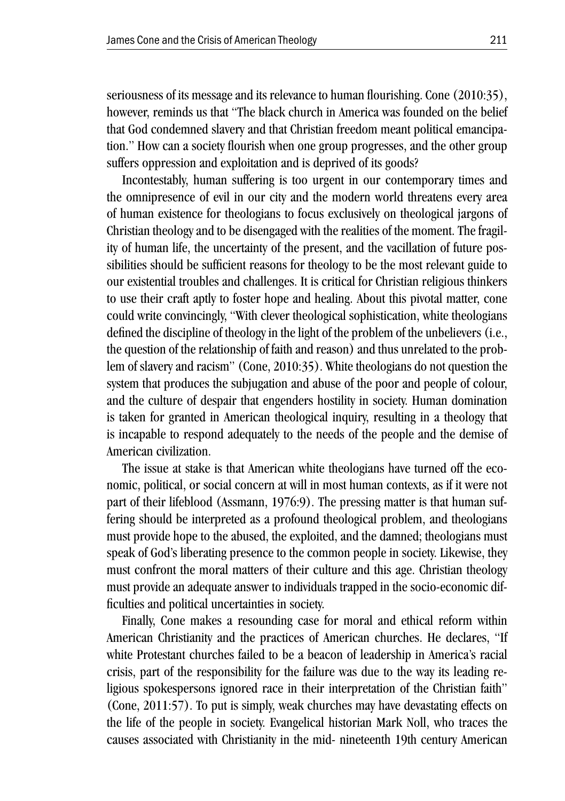seriousness of its message and its relevance to human flourishing. Cone (2010:35), however, reminds us that "The black church in America was founded on the belief that God condemned slavery and that Christian freedom meant political emancipation." How can a society flourish when one group progresses, and the other group suffers oppression and exploitation and is deprived of its goods?

Incontestably, human suffering is too urgent in our contemporary times and the omnipresence of evil in our city and the modern world threatens every area of human existence for theologians to focus exclusively on theological jargons of Christian theology and to be disengaged with the realities of the moment. The fragility of human life, the uncertainty of the present, and the vacillation of future possibilities should be sufficient reasons for theology to be the most relevant guide to our existential troubles and challenges. It is critical for Christian religious thinkers to use their craft aptly to foster hope and healing. About this pivotal matter, cone could write convincingly, "With clever theological sophistication, white theologians defined the discipline of theology in the light of the problem of the unbelievers (i.e., the question of the relationship of faith and reason) and thus unrelated to the problem of slavery and racism" (Cone, 2010:35). White theologians do not question the system that produces the subjugation and abuse of the poor and people of colour, and the culture of despair that engenders hostility in society. Human domination is taken for granted in American theological inquiry, resulting in a theology that is incapable to respond adequately to the needs of the people and the demise of American civilization.

The issue at stake is that American white theologians have turned off the economic, political, or social concern at will in most human contexts, as if it were not part of their lifeblood (Assmann, 1976:9). The pressing matter is that human suffering should be interpreted as a profound theological problem, and theologians must provide hope to the abused, the exploited, and the damned; theologians must speak of God's liberating presence to the common people in society. Likewise, they must confront the moral matters of their culture and this age. Christian theology must provide an adequate answer to individuals trapped in the socio-economic difficulties and political uncertainties in society.

Finally, Cone makes a resounding case for moral and ethical reform within American Christianity and the practices of American churches. He declares, "If white Protestant churches failed to be a beacon of leadership in America's racial crisis, part of the responsibility for the failure was due to the way its leading religious spokespersons ignored race in their interpretation of the Christian faith" (Cone, 2011:57). To put is simply, weak churches may have devastating effects on the life of the people in society. Evangelical historian Mark Noll, who traces the causes associated with Christianity in the mid- nineteenth 19th century American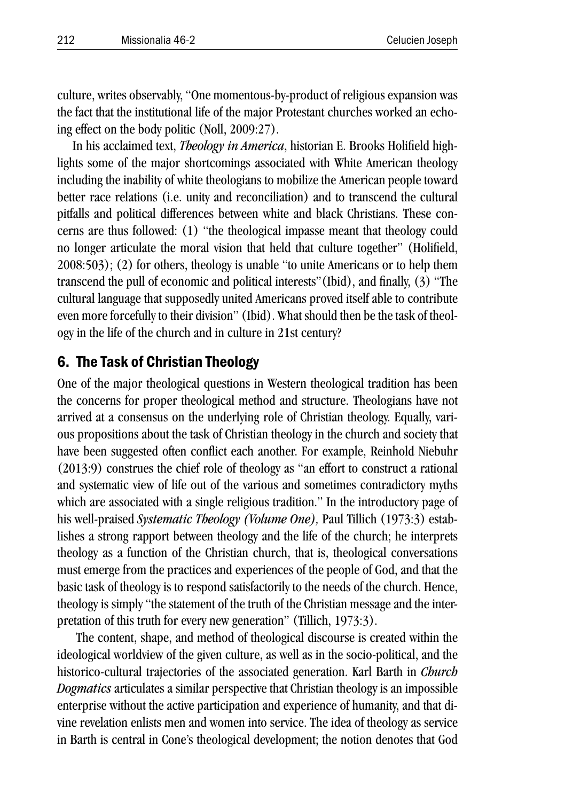culture, writes observably, "One momentous-by-product of religious expansion was the fact that the institutional life of the major Protestant churches worked an echoing effect on the body politic (Noll, 2009:27).

In his acclaimed text, *Theology in America*, historian E. Brooks Holifield highlights some of the major shortcomings associated with White American theology including the inability of white theologians to mobilize the American people toward better race relations (i.e. unity and reconciliation) and to transcend the cultural pitfalls and political differences between white and black Christians. These concerns are thus followed: (1) "the theological impasse meant that theology could no longer articulate the moral vision that held that culture together" (Holifield, 2008:503); (2) for others, theology is unable "to unite Americans or to help them transcend the pull of economic and political interests"(Ibid), and finally, (3) "The cultural language that supposedly united Americans proved itself able to contribute even more forcefully to their division" (Ibid). What should then be the task of theology in the life of the church and in culture in 21st century?

## 6. The Task of Christian Theology

One of the major theological questions in Western theological tradition has been the concerns for proper theological method and structure. Theologians have not arrived at a consensus on the underlying role of Christian theology. Equally, various propositions about the task of Christian theology in the church and society that have been suggested often conflict each another. For example, Reinhold Niebuhr (2013:9) construes the chief role of theology as "an effort to construct a rational and systematic view of life out of the various and sometimes contradictory myths which are associated with a single religious tradition." In the introductory page of his well-praised *Systematic Theology (Volume One),* Paul Tillich (1973:3) establishes a strong rapport between theology and the life of the church; he interprets theology as a function of the Christian church, that is, theological conversations must emerge from the practices and experiences of the people of God, and that the basic task of theology is to respond satisfactorily to the needs of the church. Hence, theology is simply "the statement of the truth of the Christian message and the interpretation of this truth for every new generation" (Tillich, 1973:3).

 The content, shape, and method of theological discourse is created within the ideological worldview of the given culture, as well as in the socio-political, and the historico-cultural trajectories of the associated generation. Karl Barth in *Church Dogmatics* articulates a similar perspective that Christian theology is an impossible enterprise without the active participation and experience of humanity, and that divine revelation enlists men and women into service. The idea of theology as service in Barth is central in Cone's theological development; the notion denotes that God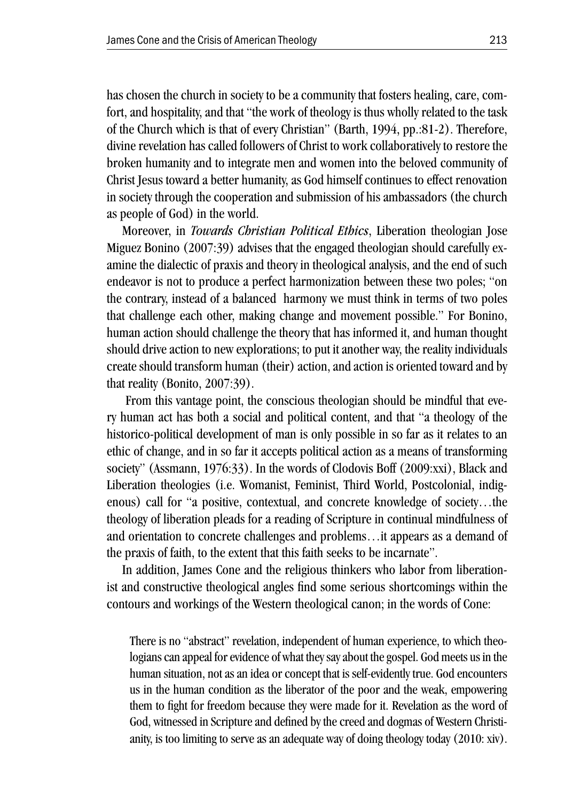has chosen the church in society to be a community that fosters healing, care, comfort, and hospitality, and that "the work of theology is thus wholly related to the task of the Church which is that of every Christian" (Barth, 1994, pp.:81-2). Therefore, divine revelation has called followers of Christ to work collaboratively to restore the broken humanity and to integrate men and women into the beloved community of Christ Jesus toward a better humanity, as God himself continues to effect renovation in society through the cooperation and submission of his ambassadors (the church as people of God) in the world.

Moreover, in *Towards Christian Political Ethics*, Liberation theologian Jose Miguez Bonino (2007:39) advises that the engaged theologian should carefully examine the dialectic of praxis and theory in theological analysis, and the end of such endeavor is not to produce a perfect harmonization between these two poles; "on the contrary, instead of a balanced harmony we must think in terms of two poles that challenge each other, making change and movement possible." For Bonino, human action should challenge the theory that has informed it, and human thought should drive action to new explorations; to put it another way, the reality individuals create should transform human (their) action, and action is oriented toward and by that reality (Bonito, 2007:39).

 From this vantage point, the conscious theologian should be mindful that every human act has both a social and political content, and that "a theology of the historico-political development of man is only possible in so far as it relates to an ethic of change, and in so far it accepts political action as a means of transforming society" (Assmann, 1976:33). In the words of Clodovis Boff (2009:xxi), Black and Liberation theologies (i.e. Womanist, Feminist, Third World, Postcolonial, indigenous) call for "a positive, contextual, and concrete knowledge of society…the theology of liberation pleads for a reading of Scripture in continual mindfulness of and orientation to concrete challenges and problems…it appears as a demand of the praxis of faith, to the extent that this faith seeks to be incarnate".

In addition, James Cone and the religious thinkers who labor from liberationist and constructive theological angles find some serious shortcomings within the contours and workings of the Western theological canon; in the words of Cone:

There is no "abstract" revelation, independent of human experience, to which theologians can appeal for evidence of what they say about the gospel. God meets us in the human situation, not as an idea or concept that is self-evidently true. God encounters us in the human condition as the liberator of the poor and the weak, empowering them to fight for freedom because they were made for it. Revelation as the word of God, witnessed in Scripture and defined by the creed and dogmas of Western Christianity, is too limiting to serve as an adequate way of doing theology today (2010: xiv).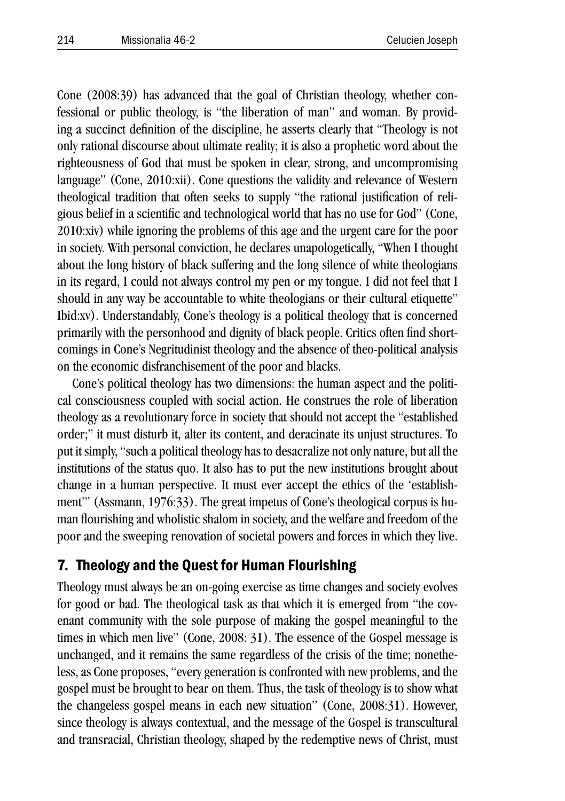Cone (2008:39) has advanced that the goal of Christian theology, whether confessional or public theology, is "the liberation of man" and woman. By providing a succinct definition of the discipline, he asserts clearly that "Theology is not only rational discourse about ultimate reality; it is also a prophetic word about the righteousness of God that must be spoken in clear, strong, and uncompromising language" (Cone, 2010:xii). Cone questions the validity and relevance of Western theological tradition that often seeks to supply "the rational justification of religious belief in a scientific and technological world that has no use for God" (Cone, 2010:xiv) while ignoring the problems of this age and the urgent care for the poor in society. With personal conviction, he declares unapologetically, "When I thought about the long history of black suffering and the long silence of white theologians in its regard, I could not always control my pen or my tongue. I did not feel that I should in any way be accountable to white theologians or their cultural etiquette" Ibid:xv). Understandably, Cone's theology is a political theology that is concerned primarily with the personhood and dignity of black people. Critics often find shortcomings in Cone's Negritudinist theology and the absence of theo-political analysis on the economic disfranchisement of the poor and blacks.

Cone's political theology has two dimensions: the human aspect and the political consciousness coupled with social action. He construes the role of liberation theology as a revolutionary force in society that should not accept the "established order;" it must disturb it, alter its content, and deracinate its unjust structures. To put it simply, "such a political theology has to desacralize not only nature, but all the institutions of the status quo. It also has to put the new institutions brought about change in a human perspective. It must ever accept the ethics of the 'establishment'" (Assmann, 1976:33). The great impetus of Cone's theological corpus is human flourishing and wholistic shalom in society, and the welfare and freedom of the poor and the sweeping renovation of societal powers and forces in which they live.

## 7. Theology and the Quest for Human Flourishing

Theology must always be an on-going exercise as time changes and society evolves for good or bad. The theological task as that which it is emerged from "the covenant community with the sole purpose of making the gospel meaningful to the times in which men live" (Cone, 2008: 31). The essence of the Gospel message is unchanged, and it remains the same regardless of the crisis of the time; nonetheless, as Cone proposes, "every generation is confronted with new problems, and the gospel must be brought to bear on them. Thus, the task of theology is to show what the changeless gospel means in each new situation" (Cone, 2008:31). However, since theology is always contextual, and the message of the Gospel is transcultural and transracial, Christian theology, shaped by the redemptive news of Christ, must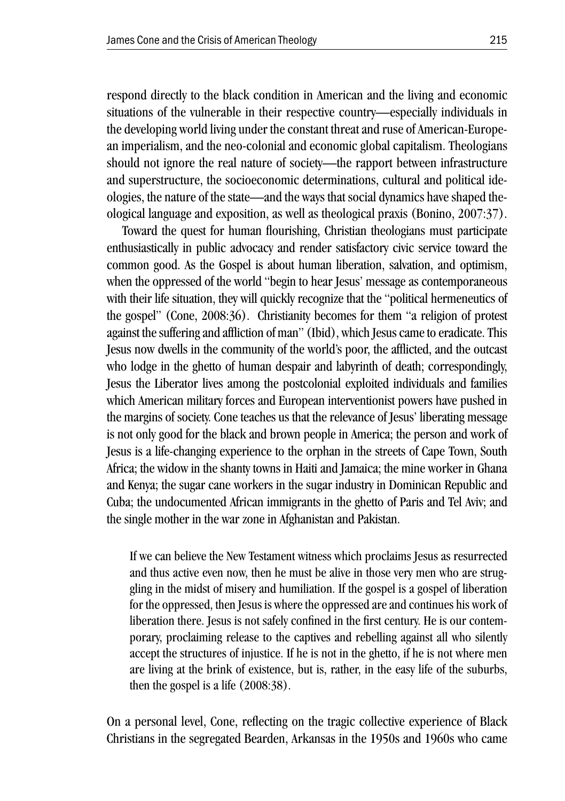respond directly to the black condition in American and the living and economic situations of the vulnerable in their respective country—especially individuals in the developing world living under the constant threat and ruse of American-European imperialism, and the neo-colonial and economic global capitalism. Theologians should not ignore the real nature of society—the rapport between infrastructure and superstructure, the socioeconomic determinations, cultural and political ideologies, the nature of the state—and the ways that social dynamics have shaped theological language and exposition, as well as theological praxis (Bonino, 2007:37).

Toward the quest for human flourishing, Christian theologians must participate enthusiastically in public advocacy and render satisfactory civic service toward the common good. As the Gospel is about human liberation, salvation, and optimism, when the oppressed of the world "begin to hear Jesus' message as contemporaneous with their life situation, they will quickly recognize that the "political hermeneutics of the gospel" (Cone, 2008:36). Christianity becomes for them "a religion of protest against the suffering and affliction of man" (Ibid), which Jesus came to eradicate. This Jesus now dwells in the community of the world's poor, the afflicted, and the outcast who lodge in the ghetto of human despair and labyrinth of death; correspondingly, Jesus the Liberator lives among the postcolonial exploited individuals and families which American military forces and European interventionist powers have pushed in the margins of society. Cone teaches us that the relevance of Jesus' liberating message is not only good for the black and brown people in America; the person and work of Jesus is a life-changing experience to the orphan in the streets of Cape Town, South Africa; the widow in the shanty towns in Haiti and Jamaica; the mine worker in Ghana and Kenya; the sugar cane workers in the sugar industry in Dominican Republic and Cuba; the undocumented African immigrants in the ghetto of Paris and Tel Aviv; and the single mother in the war zone in Afghanistan and Pakistan.

If we can believe the New Testament witness which proclaims Jesus as resurrected and thus active even now, then he must be alive in those very men who are struggling in the midst of misery and humiliation. If the gospel is a gospel of liberation for the oppressed, then Jesus is where the oppressed are and continues his work of liberation there. Jesus is not safely confined in the first century. He is our contemporary, proclaiming release to the captives and rebelling against all who silently accept the structures of injustice. If he is not in the ghetto, if he is not where men are living at the brink of existence, but is, rather, in the easy life of the suburbs, then the gospel is a life (2008:38).

On a personal level, Cone, reflecting on the tragic collective experience of Black Christians in the segregated Bearden, Arkansas in the 1950s and 1960s who came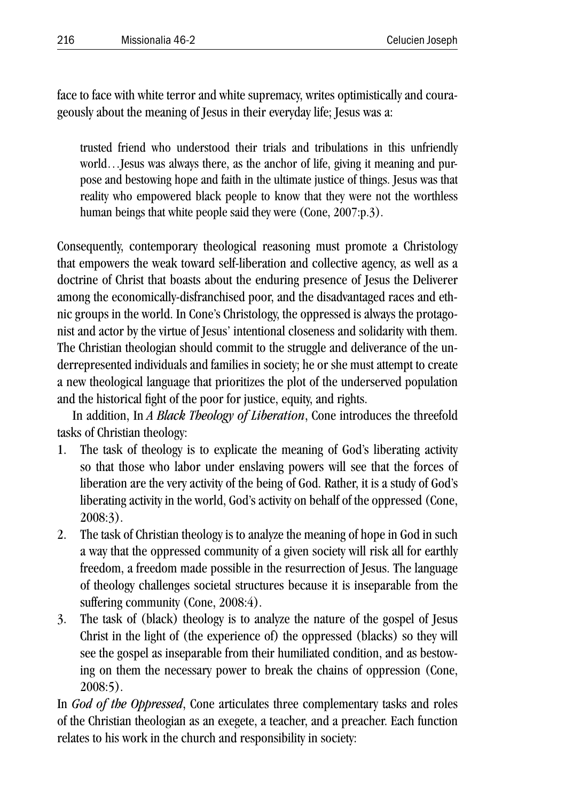face to face with white terror and white supremacy, writes optimistically and courageously about the meaning of Jesus in their everyday life; Jesus was a:

trusted friend who understood their trials and tribulations in this unfriendly world…Jesus was always there, as the anchor of life, giving it meaning and purpose and bestowing hope and faith in the ultimate justice of things. Jesus was that reality who empowered black people to know that they were not the worthless human beings that white people said they were (Cone, 2007:p.3).

Consequently, contemporary theological reasoning must promote a Christology that empowers the weak toward self-liberation and collective agency, as well as a doctrine of Christ that boasts about the enduring presence of Jesus the Deliverer among the economically-disfranchised poor, and the disadvantaged races and ethnic groups in the world. In Cone's Christology, the oppressed is always the protagonist and actor by the virtue of Jesus' intentional closeness and solidarity with them. The Christian theologian should commit to the struggle and deliverance of the underrepresented individuals and families in society; he or she must attempt to create a new theological language that prioritizes the plot of the underserved population and the historical fight of the poor for justice, equity, and rights.

In addition, In *A Black Theology of Liberation*, Cone introduces the threefold tasks of Christian theology:

- 1. The task of theology is to explicate the meaning of God's liberating activity so that those who labor under enslaving powers will see that the forces of liberation are the very activity of the being of God. Rather, it is a study of God's liberating activity in the world, God's activity on behalf of the oppressed (Cone, 2008:3).
- 2. The task of Christian theology is to analyze the meaning of hope in God in such a way that the oppressed community of a given society will risk all for earthly freedom, a freedom made possible in the resurrection of Jesus. The language of theology challenges societal structures because it is inseparable from the suffering community (Cone, 2008:4).
- 3. The task of (black) theology is to analyze the nature of the gospel of Jesus Christ in the light of (the experience of) the oppressed (blacks) so they will see the gospel as inseparable from their humiliated condition, and as bestowing on them the necessary power to break the chains of oppression (Cone, 2008:5).

In *God of the Oppressed*, Cone articulates three complementary tasks and roles of the Christian theologian as an exegete, a teacher, and a preacher. Each function relates to his work in the church and responsibility in society: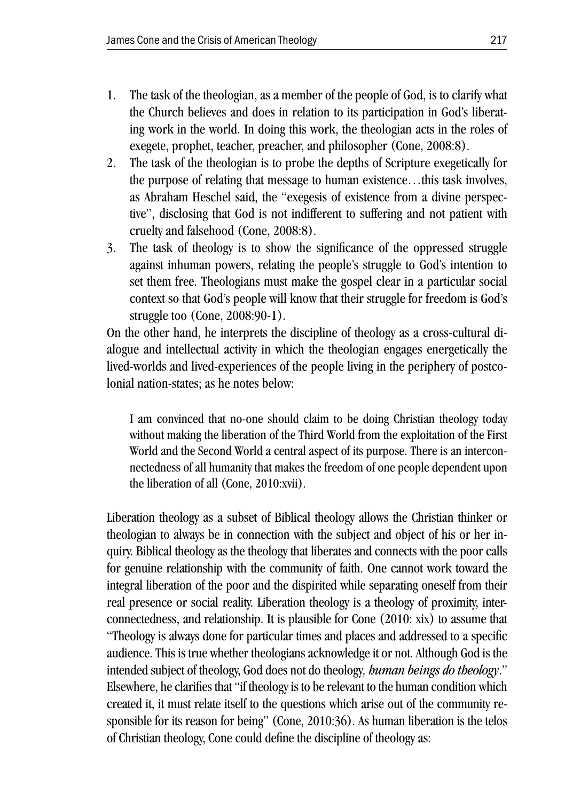- 1. The task of the theologian, as a member of the people of God, is to clarify what the Church believes and does in relation to its participation in God's liberating work in the world. In doing this work, the theologian acts in the roles of exegete, prophet, teacher, preacher, and philosopher (Cone, 2008:8).
- 2. The task of the theologian is to probe the depths of Scripture exegetically for the purpose of relating that message to human existence…this task involves, as Abraham Heschel said, the "exegesis of existence from a divine perspective", disclosing that God is not indifferent to suffering and not patient with cruelty and falsehood (Cone, 2008:8).
- 3. The task of theology is to show the significance of the oppressed struggle against inhuman powers, relating the people's struggle to God's intention to set them free. Theologians must make the gospel clear in a particular social context so that God's people will know that their struggle for freedom is God's struggle too (Cone, 2008:90-1).

On the other hand, he interprets the discipline of theology as a cross-cultural dialogue and intellectual activity in which the theologian engages energetically the lived-worlds and lived-experiences of the people living in the periphery of postcolonial nation-states; as he notes below:

I am convinced that no-one should claim to be doing Christian theology today without making the liberation of the Third World from the exploitation of the First World and the Second World a central aspect of its purpose. There is an interconnectedness of all humanity that makes the freedom of one people dependent upon the liberation of all (Cone, 2010:xvii).

Liberation theology as a subset of Biblical theology allows the Christian thinker or theologian to always be in connection with the subject and object of his or her inquiry. Biblical theology as the theology that liberates and connects with the poor calls for genuine relationship with the community of faith. One cannot work toward the integral liberation of the poor and the dispirited while separating oneself from their real presence or social reality. Liberation theology is a theology of proximity, interconnectedness, and relationship. It is plausible for Cone (2010: xix) to assume that "Theology is always done for particular times and places and addressed to a specific audience. This is true whether theologians acknowledge it or not. Although God is the intended subject of theology, God does not do theology*, human beings do theology*." Elsewhere, he clarifies that "if theology is to be relevant to the human condition which created it, it must relate itself to the questions which arise out of the community responsible for its reason for being" (Cone, 2010:36). As human liberation is the telos of Christian theology, Cone could define the discipline of theology as: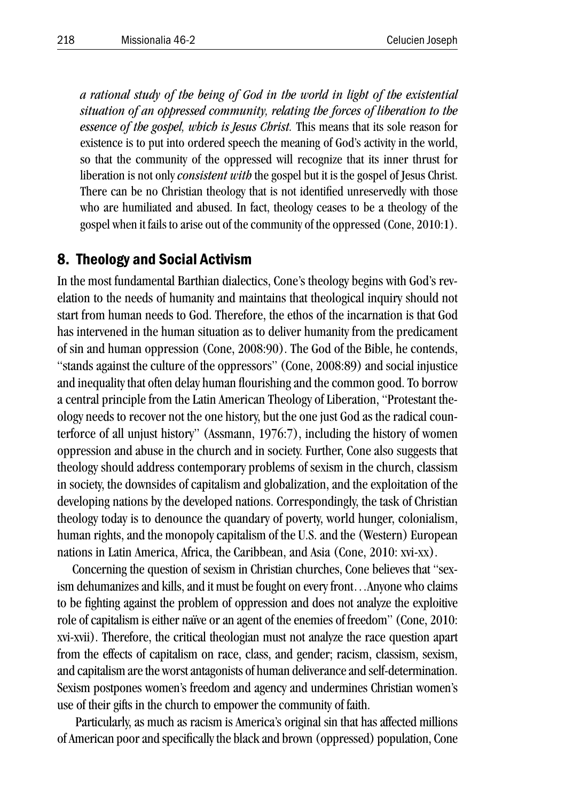*a rational study of the being of God in the world in light of the existential situation of an oppressed community, relating the forces of liberation to the essence of the gospel, which is Jesus Christ.* This means that its sole reason for existence is to put into ordered speech the meaning of God's activity in the world, so that the community of the oppressed will recognize that its inner thrust for liberation is not only *consistent with* the gospel but it is the gospel of Jesus Christ. There can be no Christian theology that is not identified unreservedly with those who are humiliated and abused. In fact, theology ceases to be a theology of the gospel when it fails to arise out of the community of the oppressed (Cone, 2010:1).

#### 8. Theology and Social Activism

In the most fundamental Barthian dialectics, Cone's theology begins with God's revelation to the needs of humanity and maintains that theological inquiry should not start from human needs to God. Therefore, the ethos of the incarnation is that God has intervened in the human situation as to deliver humanity from the predicament of sin and human oppression (Cone, 2008:90). The God of the Bible, he contends, "stands against the culture of the oppressors" (Cone, 2008:89) and social injustice and inequality that often delay human flourishing and the common good. To borrow a central principle from the Latin American Theology of Liberation, "Protestant theology needs to recover not the one history, but the one just God as the radical counterforce of all unjust history" (Assmann, 1976:7), including the history of women oppression and abuse in the church and in society. Further, Cone also suggests that theology should address contemporary problems of sexism in the church, classism in society, the downsides of capitalism and globalization, and the exploitation of the developing nations by the developed nations. Correspondingly, the task of Christian theology today is to denounce the quandary of poverty, world hunger, colonialism, human rights, and the monopoly capitalism of the U.S. and the (Western) European nations in Latin America, Africa, the Caribbean, and Asia (Cone, 2010: xvi-xx).

Concerning the question of sexism in Christian churches, Cone believes that "sexism dehumanizes and kills, and it must be fought on every front…Anyone who claims to be fighting against the problem of oppression and does not analyze the exploitive role of capitalism is either naïve or an agent of the enemies of freedom" (Cone, 2010: xvi-xvii). Therefore, the critical theologian must not analyze the race question apart from the effects of capitalism on race, class, and gender; racism, classism, sexism, and capitalism are the worst antagonists of human deliverance and self-determination. Sexism postpones women's freedom and agency and undermines Christian women's use of their gifts in the church to empower the community of faith.

 Particularly, as much as racism is America's original sin that has affected millions of American poor and specifically the black and brown (oppressed) population, Cone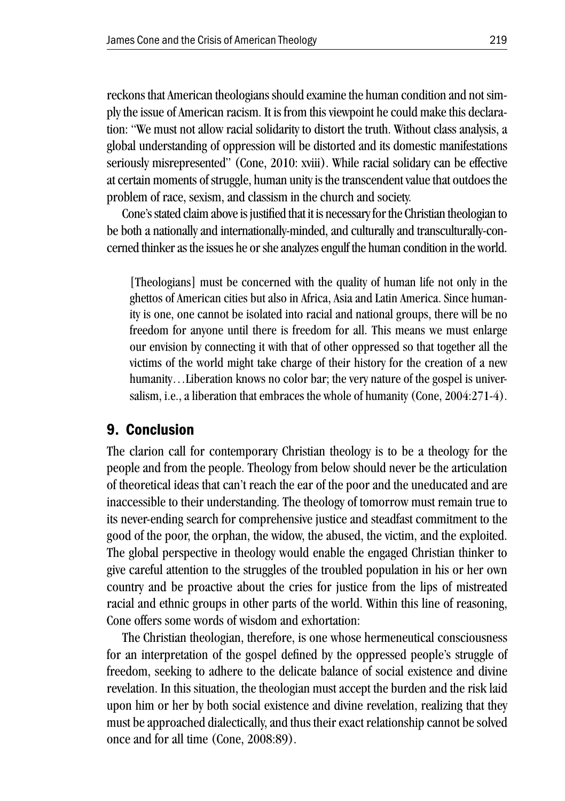reckons that American theologians should examine the human condition and not simply the issue of American racism. It is from this viewpoint he could make this declaration: "We must not allow racial solidarity to distort the truth. Without class analysis, a global understanding of oppression will be distorted and its domestic manifestations seriously misrepresented" (Cone, 2010: xviii). While racial solidary can be effective at certain moments of struggle, human unity is the transcendent value that outdoes the problem of race, sexism, and classism in the church and society.

Cone's stated claim above is justified that it is necessary for the Christian theologian to be both a nationally and internationally-minded, and culturally and transculturally-concerned thinker as the issues he or she analyzes engulf the human condition in the world.

[Theologians] must be concerned with the quality of human life not only in the ghettos of American cities but also in Africa, Asia and Latin America. Since humanity is one, one cannot be isolated into racial and national groups, there will be no freedom for anyone until there is freedom for all. This means we must enlarge our envision by connecting it with that of other oppressed so that together all the victims of the world might take charge of their history for the creation of a new humanity...Liberation knows no color bar; the very nature of the gospel is universalism, i.e., a liberation that embraces the whole of humanity (Cone, 2004:271-4).

#### 9. Conclusion

The clarion call for contemporary Christian theology is to be a theology for the people and from the people. Theology from below should never be the articulation of theoretical ideas that can't reach the ear of the poor and the uneducated and are inaccessible to their understanding. The theology of tomorrow must remain true to its never-ending search for comprehensive justice and steadfast commitment to the good of the poor, the orphan, the widow, the abused, the victim, and the exploited. The global perspective in theology would enable the engaged Christian thinker to give careful attention to the struggles of the troubled population in his or her own country and be proactive about the cries for justice from the lips of mistreated racial and ethnic groups in other parts of the world. Within this line of reasoning, Cone offers some words of wisdom and exhortation:

The Christian theologian, therefore, is one whose hermeneutical consciousness for an interpretation of the gospel defined by the oppressed people's struggle of freedom, seeking to adhere to the delicate balance of social existence and divine revelation. In this situation, the theologian must accept the burden and the risk laid upon him or her by both social existence and divine revelation, realizing that they must be approached dialectically, and thus their exact relationship cannot be solved once and for all time (Cone, 2008:89).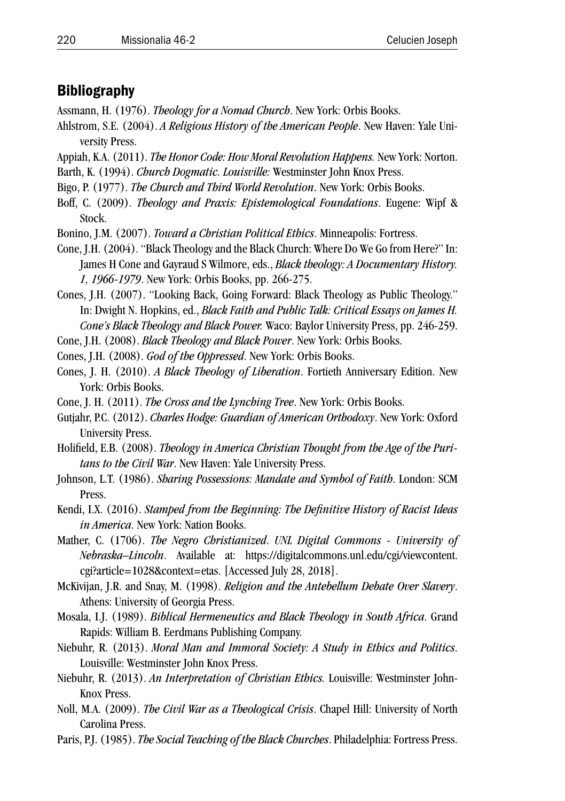#### **Bibliography**

- Assmann, H. (1976). *Theology for a Nomad Church*. New York: Orbis Books.
- Ahlstrom, S.E. (2004). *A Religious History of the American People*. New Haven: Yale University Press.
- Appiah, K.A. (2011). *The Honor Code: How Moral Revolution Happens.* New York: Norton.
- Barth, K. (1994). *Church Dogmatic. Louisville:* Westminster John Knox Press.
- Bigo, P. (1977). *The Church and Third World Revolution*. New York: Orbis Books.
- Boff, C. (2009). *Theology and Praxis: Epistemological Foundations*. Eugene: Wipf & Stock.
- Bonino, J.M. (2007). *Toward a Christian Political Ethics*. Minneapolis: Fortress.
- Cone, J.H. (2004). "Black Theology and the Black Church: Where Do We Go from Here?" In: James H Cone and Gayraud S Wilmore, eds., *Black theology: A Documentary History. 1, 1966-1979*. New York: Orbis Books, pp. 266-275.
- Cones, J.H. (2007). "Looking Back, Going Forward: Black Theology as Public Theology." In: Dwight N. Hopkins, ed., *Black Faith and Public Talk: Critical Essays on James H. Cone's Black Theology and Black Power.* Waco: Baylor University Press, pp. 246-259.

Cone, J.H. (2008). *Black Theology and Black Power*. New York: Orbis Books.

Cones, J.H. (2008). *God of the Oppressed*. New York: Orbis Books.

- Cones, J. H. (2010). *A Black Theology of Liberation*. Fortieth Anniversary Edition. New York: Orbis Books.
- Cone, J. H. (2011). *The Cross and the Lynching Tree*. New York: Orbis Books.
- Gutjahr, P.C. (2012). *Charles Hodge: Guardian of American Orthodoxy*. New York: Oxford University Press.
- Holifield, E.B. (2008). *Theology in America Christian Thought from the Age of the Puritans to the Civil War*. New Haven: Yale University Press.
- Johnson, L.T. (1986). *Sharing Possessions: Mandate and Symbol of Faith*. London: SCM Press.
- Kendi, I.X. (2016). *Stamped from the Beginning: The Definitive History of Racist Ideas in America*. New York: Nation Books.
- Mather, C. (1706). *The Negro Christianized*. *UNL Digital Commons University of Nebraska–Lincoln*. Available at: https://digitalcommons.unl.edu/cgi/viewcontent. cgi?article=1028&context=etas. [Accessed July 28, 2018].
- McKivijan, J.R. and Snay, M. (1998). *Religion and the Antebellum Debate Over Slavery*. Athens: University of Georgia Press.
- Mosala, I.J. (1989). *Biblical Hermeneutics and Black Theology in South Africa*. Grand Rapids: William B. Eerdmans Publishing Company.
- Niebuhr, R. (2013). *Moral Man and Immoral Society: A Study in Ethics and Politics*. Louisville: Westminster John Knox Press.
- Niebuhr, R. (2013). *An Interpretation of Christian Ethics.* Louisville: Westminster John-Knox Press.
- Noll, M.A. (2009). *The Civil War as a Theological Crisis*. Chapel Hill: University of North Carolina Press.
- Paris, P.J. (1985). *The Social Teaching of the Black Churches*. Philadelphia: Fortress Press.